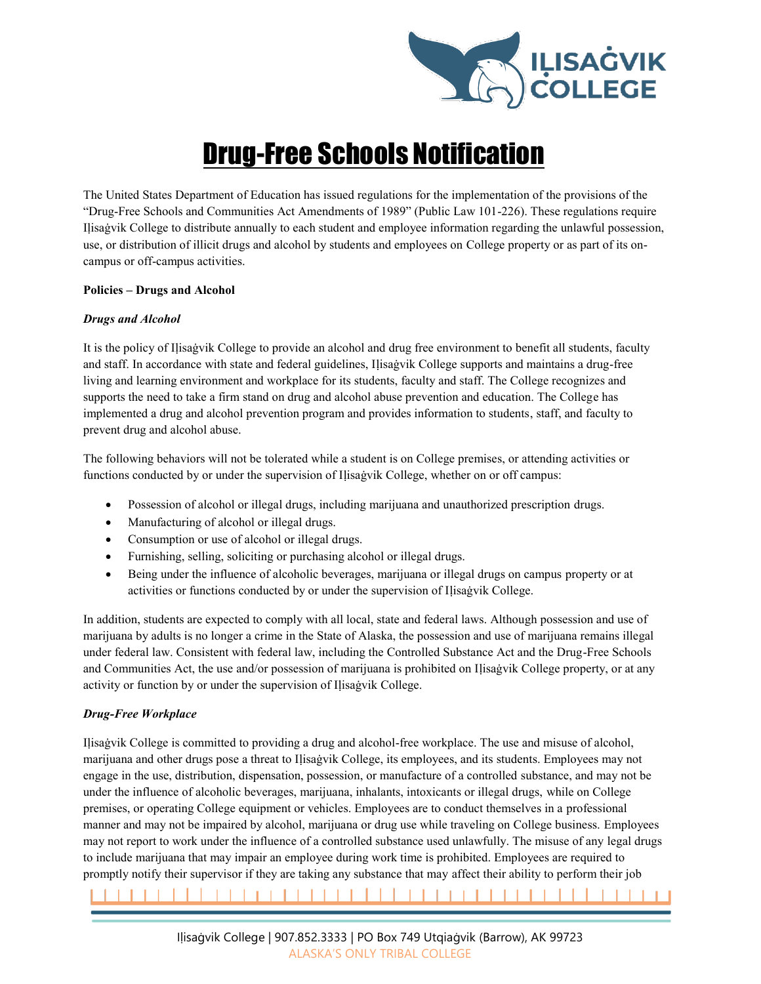

# Drug-Free Schools Notification

The United States Department of Education has issued regulations for the implementation of the provisions of the "Drug-Free Schools and Communities Act Amendments of 1989" (Public Law 101-226). These regulations require Iḷisaġvik College to distribute annually to each student and employee information regarding the unlawful possession, use, or distribution of illicit drugs and alcohol by students and employees on College property or as part of its oncampus or off-campus activities.

# **Policies – Drugs and Alcohol**

# *Drugs and Alcohol*

It is the policy of Iḷisaġvik College to provide an alcohol and drug free environment to benefit all students, faculty and staff. In accordance with state and federal guidelines, Ilisagvik College supports and maintains a drug-free living and learning environment and workplace for its students, faculty and staff. The College recognizes and supports the need to take a firm stand on drug and alcohol abuse prevention and education. The College has implemented a drug and alcohol prevention program and provides information to students, staff, and faculty to prevent drug and alcohol abuse.

The following behaviors will not be tolerated while a student is on College premises, or attending activities or functions conducted by or under the supervision of Ilisagvik College, whether on or off campus:

- Possession of alcohol or illegal drugs, including marijuana and unauthorized prescription drugs.
- Manufacturing of alcohol or illegal drugs.
- Consumption or use of alcohol or illegal drugs.
- Furnishing, selling, soliciting or purchasing alcohol or illegal drugs.
- Being under the influence of alcoholic beverages, marijuana or illegal drugs on campus property or at activities or functions conducted by or under the supervision of Ilisagvik College.

In addition, students are expected to comply with all local, state and federal laws. Although possession and use of marijuana by adults is no longer a crime in the State of Alaska, the possession and use of marijuana remains illegal under federal law. Consistent with federal law, including the Controlled Substance Act and the Drug-Free Schools and Communities Act, the use and/or possession of marijuana is prohibited on Ilisaġvik College property, or at any activity or function by or under the supervision of Iḷisaġvik College.

# *Drug-Free Workplace*

Iḷisaġvik College is committed to providing a drug and alcohol-free workplace. The use and misuse of alcohol, marijuana and other drugs pose a threat to Iḷisaġvik College, its employees, and its students. Employees may not engage in the use, distribution, dispensation, possession, or manufacture of a controlled substance, and may not be under the influence of alcoholic beverages, marijuana, inhalants, intoxicants or illegal drugs, while on College premises, or operating College equipment or vehicles. Employees are to conduct themselves in a professional manner and may not be impaired by alcohol, marijuana or drug use while traveling on College business. Employees may not report to work under the influence of a controlled substance used unlawfully. The misuse of any legal drugs to include marijuana that may impair an employee during work time is prohibited. Employees are required to promptly notify their supervisor if they are taking any substance that may affect their ability to perform their job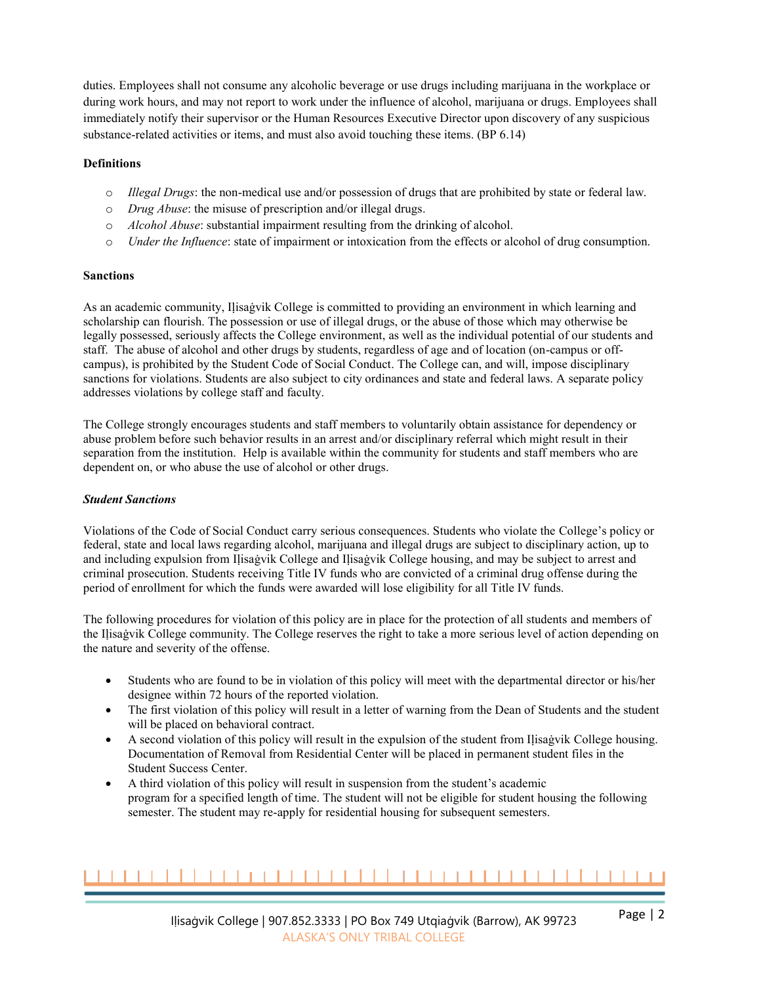duties. Employees shall not consume any alcoholic beverage or use drugs including marijuana in the workplace or during work hours, and may not report to work under the influence of alcohol, marijuana or drugs. Employees shall immediately notify their supervisor or the Human Resources Executive Director upon discovery of any suspicious substance-related activities or items, and must also avoid touching these items. (BP 6.14)

# **Definitions**

- o *Illegal Drugs*: the non-medical use and/or possession of drugs that are prohibited by state or federal law.
- o *Drug Abuse*: the misuse of prescription and/or illegal drugs.
- o *Alcohol Abuse*: substantial impairment resulting from the drinking of alcohol.
- o *Under the Influence*: state of impairment or intoxication from the effects or alcohol of drug consumption.

# **Sanctions**

As an academic community, Iḷisaġvik College is committed to providing an environment in which learning and scholarship can flourish. The possession or use of illegal drugs, or the abuse of those which may otherwise be legally possessed, seriously affects the College environment, as well as the individual potential of our students and staff. The abuse of alcohol and other drugs by students, regardless of age and of location (on-campus or offcampus), is prohibited by the Student Code of Social Conduct. The College can, and will, impose disciplinary sanctions for violations. Students are also subject to city ordinances and state and federal laws. A separate policy addresses violations by college staff and faculty.

The College strongly encourages students and staff members to voluntarily obtain assistance for dependency or abuse problem before such behavior results in an arrest and/or disciplinary referral which might result in their separation from the institution. Help is available within the community for students and staff members who are dependent on, or who abuse the use of alcohol or other drugs.

# *Student Sanctions*

Violations of the Code of Social Conduct carry serious consequences. Students who violate the College's policy or federal, state and local laws regarding alcohol, marijuana and illegal drugs are subject to disciplinary action, up to and including expulsion from Iḷisaġvik College and Iḷisaġvik College housing, and may be subject to arrest and criminal prosecution. Students receiving Title IV funds who are convicted of a criminal drug offense during the period of enrollment for which the funds were awarded will lose eligibility for all Title IV funds.

The following procedures for violation of this policy are in place for the protection of all students and members of the Iḷisaġvik College community. The College reserves the right to take a more serious level of action depending on the nature and severity of the offense.

- Students who are found to be in violation of this policy will meet with the departmental director or his/her designee within 72 hours of the reported violation.
- The first violation of this policy will result in a letter of warning from the Dean of Students and the student will be placed on behavioral contract.
- A second violation of this policy will result in the expulsion of the student from Ilisagvik College housing. Documentation of Removal from Residential Center will be placed in permanent student files in the Student Success Center.
- A third violation of this policy will result in suspension from the student's academic program for a specified length of time. The student will not be eligible for student housing the following semester. The student may re-apply for residential housing for subsequent semesters.

# ,,,,,,,,,,,,,,,,,,,,,,,,,,,,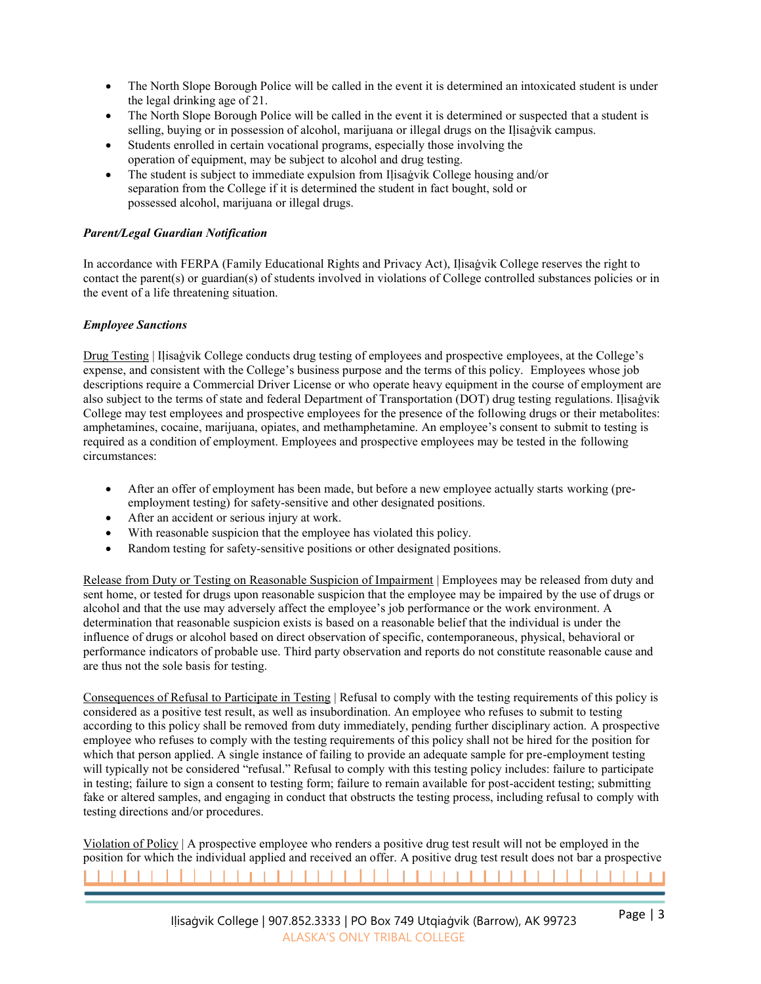- The North Slope Borough Police will be called in the event it is determined an intoxicated student is under the legal drinking age of 21.
- The North Slope Borough Police will be called in the event it is determined or suspected that a student is selling, buying or in possession of alcohol, marijuana or illegal drugs on the Ilisaġvik campus.
- Students enrolled in certain vocational programs, especially those involving the operation of equipment, may be subject to alcohol and drug testing.
- The student is subject to immediate expulsion from Iḷisaġvik College housing and/or separation from the College if it is determined the student in fact bought, sold or possessed alcohol, marijuana or illegal drugs.

# *Parent/Legal Guardian Notification*

In accordance with FERPA (Family Educational Rights and Privacy Act), Iḷisaġvik College reserves the right to contact the parent(s) or guardian(s) of students involved in violations of College controlled substances policies or in the event of a life threatening situation.

# *Employee Sanctions*

Drug Testing | Ilisagvik College conducts drug testing of employees and prospective employees, at the College's expense, and consistent with the College's business purpose and the terms of this policy. Employees whose job descriptions require a Commercial Driver License or who operate heavy equipment in the course of employment are also subject to the terms of state and federal Department of Transportation (DOT) drug testing regulations. Iḷisaġvik College may test employees and prospective employees for the presence of the following drugs or their metabolites: amphetamines, cocaine, marijuana, opiates, and methamphetamine. An employee's consent to submit to testing is required as a condition of employment. Employees and prospective employees may be tested in the following circumstances:

- After an offer of employment has been made, but before a new employee actually starts working (preemployment testing) for safety-sensitive and other designated positions.
- After an accident or serious injury at work.
- With reasonable suspicion that the employee has violated this policy.
- Random testing for safety-sensitive positions or other designated positions.

Release from Duty or Testing on Reasonable Suspicion of Impairment | Employees may be released from duty and sent home, or tested for drugs upon reasonable suspicion that the employee may be impaired by the use of drugs or alcohol and that the use may adversely affect the employee's job performance or the work environment. A determination that reasonable suspicion exists is based on a reasonable belief that the individual is under the influence of drugs or alcohol based on direct observation of specific, contemporaneous, physical, behavioral or performance indicators of probable use. Third party observation and reports do not constitute reasonable cause and are thus not the sole basis for testing.

Consequences of Refusal to Participate in Testing | Refusal to comply with the testing requirements of this policy is considered as a positive test result, as well as insubordination. An employee who refuses to submit to testing according to this policy shall be removed from duty immediately, pending further disciplinary action. A prospective employee who refuses to comply with the testing requirements of this policy shall not be hired for the position for which that person applied. A single instance of failing to provide an adequate sample for pre-employment testing will typically not be considered "refusal." Refusal to comply with this testing policy includes: failure to participate in testing; failure to sign a consent to testing form; failure to remain available for post-accident testing; submitting fake or altered samples, and engaging in conduct that obstructs the testing process, including refusal to comply with testing directions and/or procedures.

Violation of Policy | A prospective employee who renders a positive drug test result will not be employed in the position for which the individual applied and received an offer. A positive drug test result does not bar a prospective ,,,,,,,,,,,,,,,,,,,,,,,,,,,,,,,,,,,,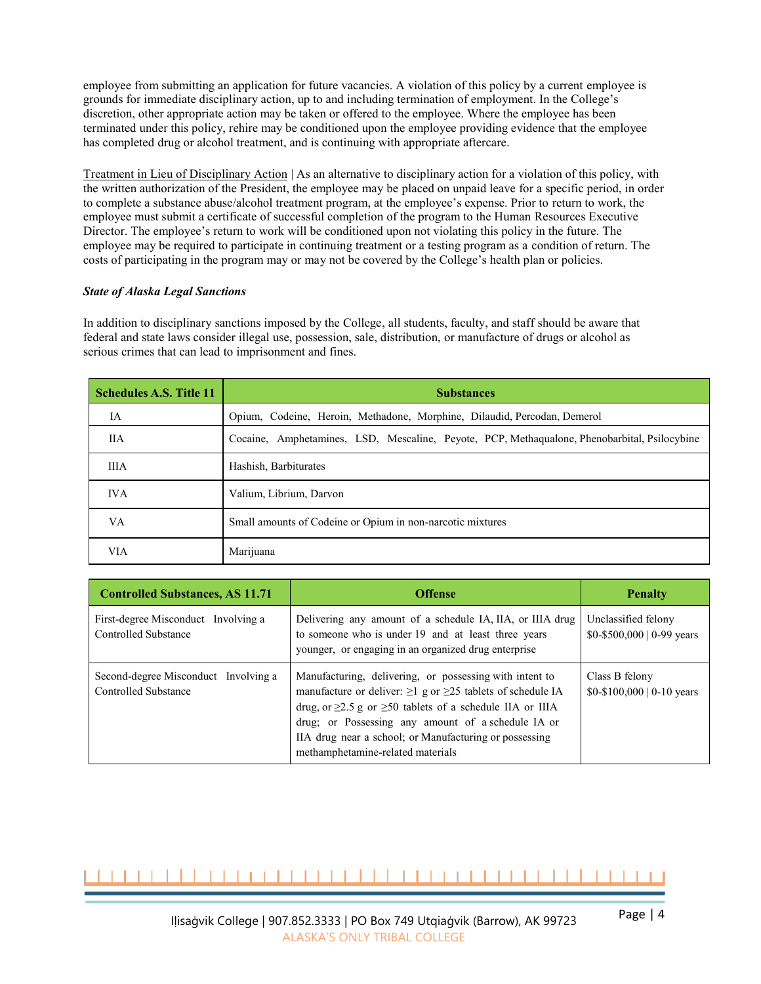employee from submitting an application for future vacancies. A violation of this policy by a current employee is grounds for immediate disciplinary action, up to and including termination of employment. In the College's discretion, other appropriate action may be taken or offered to the employee. Where the employee has been terminated under this policy, rehire may be conditioned upon the employee providing evidence that the employee has completed drug or alcohol treatment, and is continuing with appropriate aftercare.

Treatment in Lieu of Disciplinary Action | As an alternative to disciplinary action for a violation of this policy, with the written authorization of the President, the employee may be placed on unpaid leave for a specific period, in order to complete a substance abuse/alcohol treatment program, at the employee's expense. Prior to return to work, the employee must submit a certificate of successful completion of the program to the Human Resources Executive Director. The employee's return to work will be conditioned upon not violating this policy in the future. The employee may be required to participate in continuing treatment or a testing program as a condition of return. The costs of participating in the program may or may not be covered by the College's health plan or policies.

# *State of Alaska Legal Sanctions*

In addition to disciplinary sanctions imposed by the College, all students, faculty, and staff should be aware that federal and state laws consider illegal use, possession, sale, distribution, or manufacture of drugs or alcohol as serious crimes that can lead to imprisonment and fines.

| <b>Schedules A.S. Title 11</b> | <b>Substances</b>                                                                            |  |
|--------------------------------|----------------------------------------------------------------------------------------------|--|
| IA                             | Opium, Codeine, Heroin, Methadone, Morphine, Dilaudid, Percodan, Demerol                     |  |
| <b>IIA</b>                     | Cocaine, Amphetamines, LSD, Mescaline, Peyote, PCP, Methaqualone, Phenobarbital, Psilocybine |  |
| <b>IIIA</b>                    | Hashish, Barbiturates                                                                        |  |
| <b>IVA</b>                     | Valium, Librium, Darvon                                                                      |  |
| VA                             | Small amounts of Codeine or Opium in non-narcotic mixtures                                   |  |
| <b>VIA</b>                     | Marijuana                                                                                    |  |

| <b>Controlled Substances, AS 11.71</b>                              | <b>Offense</b>                                                                                                                                                                                                                                                                                                                                                 | <b>Penalty</b>                                            |
|---------------------------------------------------------------------|----------------------------------------------------------------------------------------------------------------------------------------------------------------------------------------------------------------------------------------------------------------------------------------------------------------------------------------------------------------|-----------------------------------------------------------|
| First-degree Misconduct Involving a<br>Controlled Substance         | Delivering any amount of a schedule IA, IIA, or IIIA drug<br>to someone who is under 19 and at least three years<br>younger, or engaging in an organized drug enterprise                                                                                                                                                                                       | Unclassified felony<br>$$0-$500,000   0-99 \text{ years}$ |
| Second-degree Misconduct Involving a<br><b>Controlled Substance</b> | Manufacturing, delivering, or possessing with intent to<br>manufacture or deliver: $\geq$ 1 g or $\geq$ 25 tablets of schedule IA<br>drug, or $\geq$ 2.5 g or $\geq$ 50 tablets of a schedule IIA or IIIA<br>drug; or Possessing any amount of a schedule IA or<br>IIA drug near a school; or Manufacturing or possessing<br>methamphetamine-related materials | Class B felony<br>$$0-$100,000 \mid 0-10 \text{ years}$   |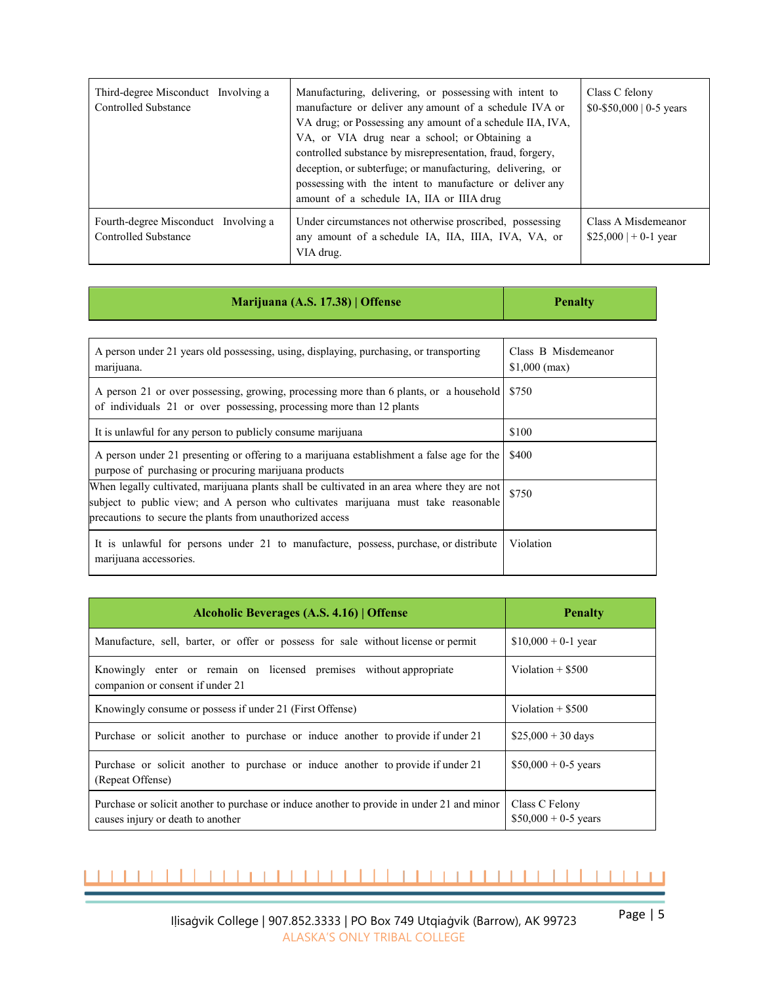| Third-degree Misconduct Involving a<br><b>Controlled Substance</b>  | Manufacturing, delivering, or possessing with intent to<br>manufacture or deliver any amount of a schedule IVA or<br>VA drug; or Possessing any amount of a schedule IIA, IVA,<br>VA, or VIA drug near a school; or Obtaining a<br>controlled substance by misrepresentation, fraud, forgery,<br>deception, or subterfuge; or manufacturing, delivering, or<br>possessing with the intent to manufacture or deliver any<br>amount of a schedule IA, IIA or IIIA drug | Class C felony<br>$$0-$50,000 \mid 0-5 \text{ years}$ |
|---------------------------------------------------------------------|----------------------------------------------------------------------------------------------------------------------------------------------------------------------------------------------------------------------------------------------------------------------------------------------------------------------------------------------------------------------------------------------------------------------------------------------------------------------|-------------------------------------------------------|
| Fourth-degree Misconduct Involving a<br><b>Controlled Substance</b> | Under circumstances not otherwise proscribed, possessing<br>any amount of a schedule IA, IIA, IIIA, IVA, VA, or<br>VIA drug.                                                                                                                                                                                                                                                                                                                                         | Class A Misdemeanor<br>$$25,000$   + 0-1 year         |

| Marijuana (A.S. 17.38)   Offense                                                                                                                                                                                                               | <b>Penalty</b>                        |
|------------------------------------------------------------------------------------------------------------------------------------------------------------------------------------------------------------------------------------------------|---------------------------------------|
|                                                                                                                                                                                                                                                |                                       |
| A person under 21 years old possessing, using, displaying, purchasing, or transporting<br>marijuana.                                                                                                                                           | Class B Misdemeanor<br>$$1,000$ (max) |
| A person 21 or over possessing, growing, processing more than 6 plants, or a household<br>of individuals 21 or over possessing, processing more than 12 plants                                                                                 | \$750                                 |
| It is unlawful for any person to publicly consume marijuana                                                                                                                                                                                    | \$100                                 |
| A person under 21 presenting or offering to a marijuana establishment a false age for the<br>purpose of purchasing or procuring marijuana products                                                                                             | \$400                                 |
| When legally cultivated, marijuana plants shall be cultivated in an area where they are not<br>subject to public view; and A person who cultivates marijuana must take reasonable<br>precautions to secure the plants from unauthorized access | \$750                                 |
| It is unlawful for persons under 21 to manufacture, possess, purchase, or distribute<br>marijuana accessories.                                                                                                                                 | Violation                             |

| Alcoholic Beverages (A.S. 4.16)   Offense                                                                                       | <b>Penalty</b>                          |
|---------------------------------------------------------------------------------------------------------------------------------|-----------------------------------------|
| Manufacture, sell, barter, or offer or possess for sale without license or permit                                               | $$10,000 + 0-1$ year                    |
| Knowingly enter or remain on licensed premises without appropriate<br>companion or consent if under 21                          | Violation $+$ \$500                     |
| Knowingly consume or possess if under 21 (First Offense)                                                                        | Violation $+$ \$500                     |
| Purchase or solicit another to purchase or induce another to provide if under 21                                                | $$25,000 + 30$ days                     |
| Purchase or solicit another to purchase or induce another to provide if under 21<br>(Repeat Offense)                            | $$50,000 + 0.5$ years                   |
| Purchase or solicit another to purchase or induce another to provide in under 21 and minor<br>causes injury or death to another | Class C Felony<br>$$50,000 + 0.5$ years |

## ,,,,,,,,,,,,,,,,,,,,,,,,,,,,,,,,,,,,,,  $\mathbf{L}$

÷,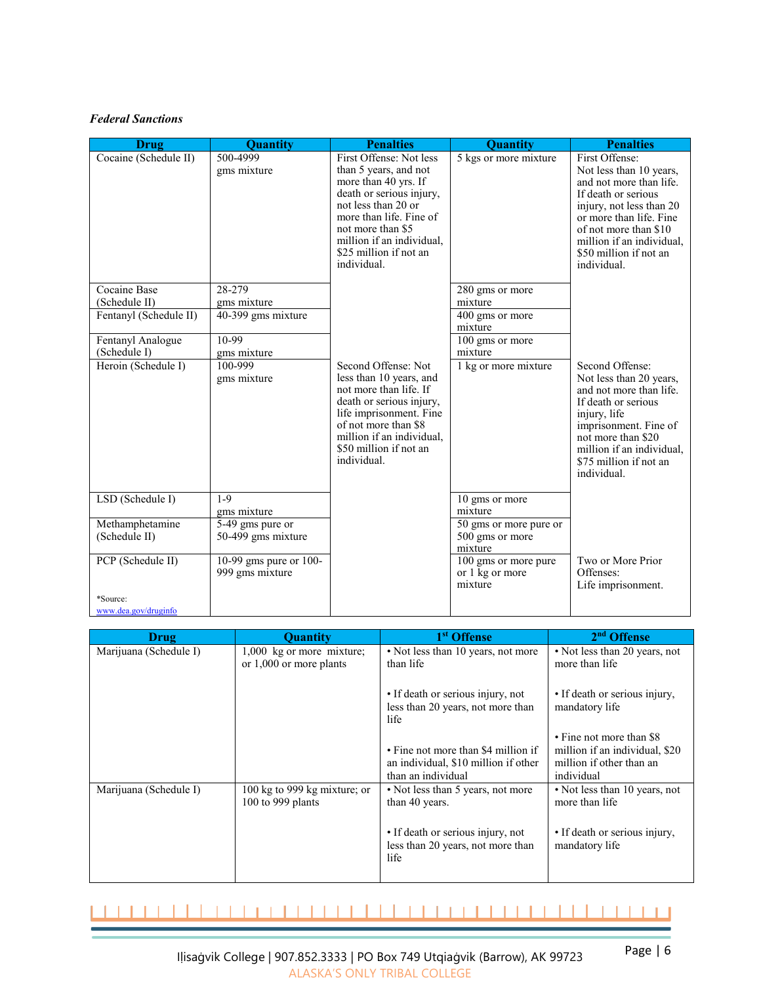# *Federal Sanctions*

| Drug                   | Quantity                                  | <b>Penalties</b>                                                                                                                                                                                                                                  | Quantity                                           | <b>Penalties</b>                                                                                                                                                                                                                                  |
|------------------------|-------------------------------------------|---------------------------------------------------------------------------------------------------------------------------------------------------------------------------------------------------------------------------------------------------|----------------------------------------------------|---------------------------------------------------------------------------------------------------------------------------------------------------------------------------------------------------------------------------------------------------|
| Cocaine (Schedule II)  | 500-4999<br>gms mixture                   | First Offense: Not less<br>than 5 years, and not<br>more than 40 yrs. If<br>death or serious injury,<br>not less than 20 or<br>more than life. Fine of<br>not more than \$5<br>million if an individual.<br>\$25 million if not an<br>individual. | 5 kgs or more mixture                              | First Offense:<br>Not less than 10 years,<br>and not more than life.<br>If death or serious<br>injury, not less than 20<br>or more than life. Fine<br>of not more than \$10<br>million if an individual,<br>\$50 million if not an<br>individual. |
| Cocaine Base           | 28-279                                    |                                                                                                                                                                                                                                                   | 280 gms or more                                    |                                                                                                                                                                                                                                                   |
| (Schedule II)          | gms mixture                               |                                                                                                                                                                                                                                                   | mixture                                            |                                                                                                                                                                                                                                                   |
| Fentanyl (Schedule II) | 40-399 gms mixture                        |                                                                                                                                                                                                                                                   | 400 gms or more<br>mixture                         |                                                                                                                                                                                                                                                   |
| Fentanyl Analogue      | $10 - 99$                                 |                                                                                                                                                                                                                                                   | 100 gms or more                                    |                                                                                                                                                                                                                                                   |
| (Schedule I)           | gms mixture                               |                                                                                                                                                                                                                                                   | mixture                                            |                                                                                                                                                                                                                                                   |
| Heroin (Schedule I)    | 100-999<br>gms mixture                    | Second Offense: Not<br>less than 10 years, and<br>not more than life. If<br>death or serious injury,<br>life imprisonment. Fine<br>of not more than \$8<br>million if an individual,<br>\$50 million if not an<br>individual.                     | 1 kg or more mixture                               | Second Offense:<br>Not less than 20 years,<br>and not more than life.<br>If death or serious<br>injury, life<br>imprisonment. Fine of<br>not more than \$20<br>million if an individual,<br>\$75 million if not an<br>individual.                 |
| LSD (Schedule I)       | $1-9$<br>gms mixture                      |                                                                                                                                                                                                                                                   | 10 gms or more<br>mixture                          |                                                                                                                                                                                                                                                   |
| Methamphetamine        | 5-49 gms pure or                          |                                                                                                                                                                                                                                                   | 50 gms or more pure or                             |                                                                                                                                                                                                                                                   |
| (Schedule II)          | 50-499 gms mixture                        |                                                                                                                                                                                                                                                   | 500 gms or more<br>mixture                         |                                                                                                                                                                                                                                                   |
| PCP (Schedule II)      | 10-99 gms pure or 100-<br>999 gms mixture |                                                                                                                                                                                                                                                   | 100 gms or more pure<br>or 1 kg or more<br>mixture | Two or More Prior<br>Offenses:<br>Life imprisonment.                                                                                                                                                                                              |
| *Source:               |                                           |                                                                                                                                                                                                                                                   |                                                    |                                                                                                                                                                                                                                                   |
| www.dea.gov/druginfo   |                                           |                                                                                                                                                                                                                                                   |                                                    |                                                                                                                                                                                                                                                   |

| <b>Drug</b>            | <b>Ouantity</b>                                          | 1 <sup>st</sup> Offense                                                                           | 2 <sup>nd</sup> Offense                                                                              |
|------------------------|----------------------------------------------------------|---------------------------------------------------------------------------------------------------|------------------------------------------------------------------------------------------------------|
| Marijuana (Schedule I) | $1,000$ kg or more mixture;<br>or $1,000$ or more plants | • Not less than 10 years, not more<br>than life                                                   | • Not less than 20 years, not<br>more than life                                                      |
|                        |                                                          | • If death or serious injury, not<br>less than 20 years, not more than<br>life                    | • If death or serious injury,<br>mandatory life                                                      |
|                        |                                                          | • Fine not more than \$4 million if<br>an individual, \$10 million if other<br>than an individual | • Fine not more than \$8<br>million if an individual, \$20<br>million if other than an<br>individual |
| Marijuana (Schedule I) | 100 kg to 999 kg mixture; or<br>100 to 999 plants        | • Not less than 5 years, not more<br>than 40 years.                                               | • Not less than 10 years, not<br>more than life                                                      |
|                        |                                                          | • If death or serious injury, not<br>less than 20 years, not more than<br>life                    | • If death or serious injury,<br>mandatory life                                                      |

## $\perp$  $111111$ ------------ $\mathbf{1}$  $\mathbf{1}$  $\Box$ ÷. Т.  $\mathbf{L}$ -1

Iḷisaġvik College | 907.852.3333 | PO Box 749 Utqiaġvik (Barrow), AK 99723 ALASKA'S ONLY TRIBAL COLLEGE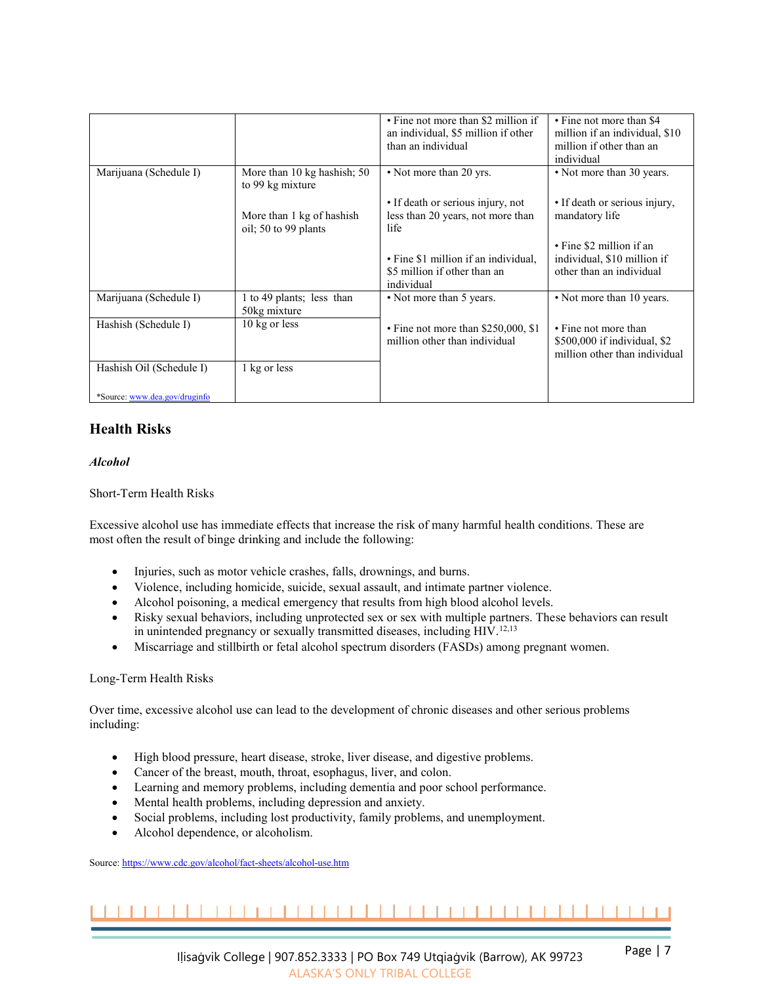|                               |                                                   | • Fine not more than \$2 million if<br>an individual, \$5 million if other<br>than an individual | • Fine not more than \$4<br>million if an individual, \$10<br>million if other than an<br>individual |
|-------------------------------|---------------------------------------------------|--------------------------------------------------------------------------------------------------|------------------------------------------------------------------------------------------------------|
| Marijuana (Schedule I)        | More than 10 kg hashish; 50<br>to 99 kg mixture   | • Not more than 20 yrs.                                                                          | • Not more than 30 years.                                                                            |
|                               | More than 1 kg of hashish<br>oil; 50 to 99 plants | • If death or serious injury, not<br>less than 20 years, not more than<br>life                   | • If death or serious injury,<br>mandatory life                                                      |
|                               |                                                   | • Fine \$1 million if an individual,<br>\$5 million if other than an<br>individual               | • Fine \$2 million if an<br>individual, \$10 million if<br>other than an individual                  |
| Marijuana (Schedule I)        | 1 to 49 plants; less than<br>50kg mixture         | • Not more than 5 years.                                                                         | • Not more than 10 years.                                                                            |
| Hashish (Schedule I)          | 10 kg or less                                     | $\cdot$ Fine not more than \$250,000, \$1<br>million other than individual                       | • Fine not more than<br>\$500,000 if individual, \$2<br>million other than individual                |
| Hashish Oil (Schedule I)      | 1 kg or less                                      |                                                                                                  |                                                                                                      |
| *Source: www.dea.gov/druginfo |                                                   |                                                                                                  |                                                                                                      |

# **Health Risks**

# *Alcohol*

Short-Term Health Risks

Excessive alcohol use has immediate effects that increase the risk of many harmful health conditions. These are most often the result of binge drinking and include the following:

- Injuries, such as motor vehicle crashes, falls, drownings, and burns.
- Violence, including homicide, suicide, sexual assault, and intimate partner violence.
- Alcohol poisoning, a medical emergency that results from high blood alcohol levels.
- Risky sexual behaviors, including unprotected sex or sex with multiple partners. These behaviors can result in unintended pregnancy or sexually transmitted diseases, including HIV.<sup>12,13</sup>
- Miscarriage and stillbirth or fetal alcohol spectrum disorders (FASDs) among pregnant women.

# Long-Term Health Risks

Over time, excessive alcohol use can lead to the development of chronic diseases and other serious problems including:

- High blood pressure, heart disease, stroke, liver disease, and digestive problems.
- Cancer of the breast, mouth, throat, esophagus, liver, and colon.
- Learning and memory problems, including dementia and poor school performance.
- Mental health problems, including depression and anxiety.
- Social problems, including lost productivity, family problems, and unemployment.
- Alcohol dependence, or alcoholism.

Source[: https://www.cdc.gov/alcohol/fact-sheets/alcohol-use.htm](https://www.cdc.gov/alcohol/fact-sheets/alcohol-use.htm)